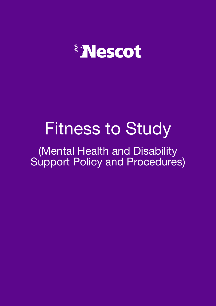

# Fitness to Study

(Mental Health and Disability Support Policy and Procedures)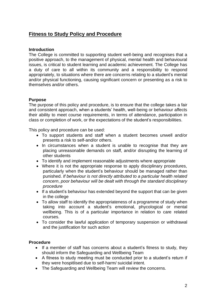# **Fitness to Study Policy and Procedure**

# **Introduction**

The College is committed to supporting student well-being and recognises that a positive approach, to the management of physical, mental health and behavioural issues, is critical to student learning and academic achievement. The College has a duty of care to all within its community and a responsibility to respond appropriately, to situations where there are concerns relating to a student's mental and/or physical functioning, causing significant concern or presenting as a risk to themselves and/or others.

# **Purpose**

The purpose of this policy and procedure, is to ensure that the college takes a fair and consistent approach, when a students' health, well-being or behaviour affects their ability to meet course requirements, in terms of attendance, participation in class or completion of work, or the expectations of the student's responsibilities.

This policy and procedure can be used:

- To support students and staff when a student becomes unwell and/or presents a risk to self-and/or others.
- In circumstances when a student is unable to recognise that they are placing unreasonable demands on staff, and/or disrupting the learning of other students
- To identify and implement reasonable adjustments where appropriate
- Where it is not the appropriate response to apply disciplinary procedures, particularly when the student's behaviour should be managed rather than punished. *If behaviour is not directly attributed to a particular health related concern*, *poor behaviour will be dealt with through the standard disciplinary procedure*
- If a student's behaviour has extended beyond the support that can be given in the college
- To allow staff to identify the appropriateness of a programme of study when taking into account a student's emotional, phycological or mental wellbeing. This is of a particular importance in relation to care related courses.
- To consider the lawful application of temporary suspension or withdrawal and the justification for such action

#### **Procedure**

- If a member of staff has concerns about a student's fitness to study, they should inform the Safeguarding and Wellbeing Team
- A fitness to study meeting must be conducted prior to a student's return if they were hospitlised due to self-harm/ suicidal intent.
- The Safeguarding and Wellbeing Team will review the concerns.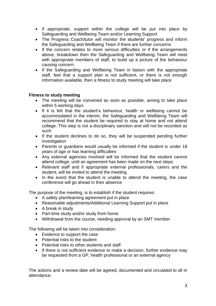- If appropriate, support within the college will be put into place by Safeguarding and Wellbeing Team and/or Learning Support
- The Progress Coach/tutor will monitor the students' progress and inform the Safeguarding and Wellbeing Team if there are further concerns
- If the concern relates to more serious difficulties or if the arrangements above, breakdown then the Safeguarding and Wellbeing Team will meet with appropriate members of staff, to build up a picture of the behaviour causing concern.
- If the Safeguarding and Wellbeing Team in liaison with the appropriate staff, feel that a support plan is not sufficient, or there is not enough information available, then a fitness to study meeting will take place

# **Fitness to study meeting**

- The meeting will be convened as soon as possible, aiming to take place within 5 working days
- If it is felt that the student's behaviour, health or wellbeing cannot be accommodated in the interim, the Safeguarding and Wellbeing Team will recommend that the student be required to stay at home and not attend college. This step is not a disciplinary sanction and will not be recorded as such.
- If the student declines to do so, they will be suspended pending further investigation
- Parents or guardians would usually be informed if the student is under 18 years of age or has learning difficulties
- Any external agencies involved will be informed that the student cannot attend college, until an agreement has been made on the next steps
- Relevant staff and if appropriate external professionals, carers and the student, will be invited to attend the meeting
- In the event that the student is unable to attend the meeting, the case conference will go ahead in their absence

The purpose of the meeting, is to establish if the student requires:

- A safety plan/learning agreement put in place
- Reasonable adjustments/Additional Learning Support put in place
- A break in study
- Part-time study and/or study from home
- Withdrawal from the course, needing approval by an SMT member

The following will be taken into consideration:

- Evidence to support the case
- Potential risks to the student
- Potential risks to other students and staff
- If there is not sufficient evidence to make a decision, further evidence may be requested from a GP, health professional or an external agency

The actions and a review date will be agreed, documented and circulated to all in attendance.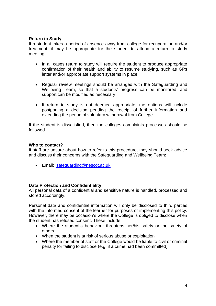#### **Return to Study**

If a student takes a period of absence away from college for recuperation and/or treatment, it may be appropriate for the student to attend a return to study meeting.

- In all cases return to study will require the student to produce appropriate confirmation of their health and ability to resume studying, such as GPs letter and/or appropriate support systems in place.
- Regular review meetings should be arranged with the Safeguarding and Wellbeing Team, so that a students' progress can be monitored, and support can be modified as necessary.
- If return to study is not deemed appropriate, the options will include postponing a decision pending the receipt of further information and extending the period of voluntary withdrawal from College.

If the student is dissatisfied, then the colleges complaints processes should be followed.

#### **Who to contact?**

If staff are unsure about how to refer to this procedure, they should seek advice and discuss their concerns with the Safeguarding and Wellbeing Team:

• Email: [safeguarding@nescot.ac.uk](mailto:safeguarding@nescot.ac.uk)

#### **Data Protection and Confidentiality**

All personal data of a confidential and sensitive nature is handled, processed and stored accordingly.

Personal data and confidential information will only be disclosed to third parties with the informed consent of the learner for purposes of implementing this policy. However, there may be occasion's where the College is obliged to disclose when the student has refused consent. These include:

- Where the student's behaviour threatens her/his safety or the safety of others
- When the student is at risk of serious abuse or exploitation
- Where the member of staff or the College would be liable to civil or criminal penalty for failing to disclose (e.g. if a crime had been committed)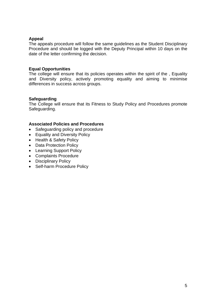# **Appeal**

The appeals procedure will follow the same guidelines as the Student Disciplinary Procedure and should be logged with the Deputy Principal within 10 days on the date of the letter confirming the decision.

# **Equal Opportunities**

The college will ensure that its policies operates within the spirit of the , Equality and Diversity policy, actively promoting equality and aiming to minimise differences in success across groups.

# **Safeguarding**

The College will ensure that its Fitness to Study Policy and Procedures promote Safeguarding.

#### **Associated Policies and Procedures**

- Safeguarding policy and procedure
- Equality and Diversity Policy
- Health & Safety Policy
- Data Protection Policy
- Learning Support Policy
- Complaints Procedure
- Disciplinary Policy
- Self-harm Procedure Policy